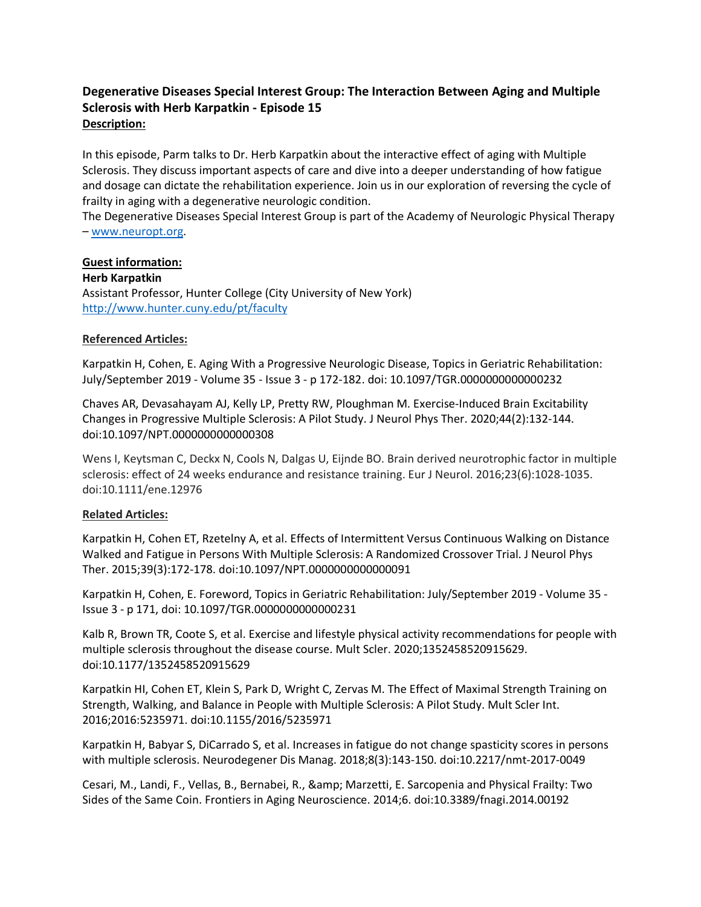## **Degenerative Diseases Special Interest Group: The Interaction Between Aging and Multiple Sclerosis with Herb Karpatkin - Episode 15 Description:**

In this episode, Parm talks to Dr. Herb Karpatkin about the interactive effect of aging with Multiple Sclerosis. They discuss important aspects of care and dive into a deeper understanding of how fatigue and dosage can dictate the rehabilitation experience. Join us in our exploration of reversing the cycle of frailty in aging with a degenerative neurologic condition.

The Degenerative Diseases Special Interest Group is part of the Academy of Neurologic Physical Therapy – [www.neuropt.org.](http://www.neuropt.org/)

## **Guest information:**

**Herb Karpatkin**

Assistant Professor, Hunter College (City University of New York) <http://www.hunter.cuny.edu/pt/faculty>

## **Referenced Articles:**

Karpatkin H, Cohen, E. Aging With a Progressive Neurologic Disease, Topics in Geriatric Rehabilitation: July/September 2019 - Volume 35 - Issue 3 - p 172-182. doi: 10.1097/TGR.0000000000000232

Chaves AR, Devasahayam AJ, Kelly LP, Pretty RW, Ploughman M. Exercise-Induced Brain Excitability Changes in Progressive Multiple Sclerosis: A Pilot Study. J Neurol Phys Ther. 2020;44(2):132-144. doi:10.1097/NPT.0000000000000308

Wens I, Keytsman C, Deckx N, Cools N, Dalgas U, Eijnde BO. Brain derived neurotrophic factor in multiple sclerosis: effect of 24 weeks endurance and resistance training. Eur J Neurol. 2016;23(6):1028-1035. doi:10.1111/ene.12976

## **Related Articles:**

Karpatkin H, Cohen ET, Rzetelny A, et al. Effects of Intermittent Versus Continuous Walking on Distance Walked and Fatigue in Persons With Multiple Sclerosis: A Randomized Crossover Trial. J Neurol Phys Ther. 2015;39(3):172-178. doi:10.1097/NPT.0000000000000091

Karpatkin H, Cohen, E. Foreword, Topics in Geriatric Rehabilitation: July/September 2019 - Volume 35 - Issue 3 - p 171, doi: 10.1097/TGR.0000000000000231

Kalb R, Brown TR, Coote S, et al. Exercise and lifestyle physical activity recommendations for people with multiple sclerosis throughout the disease course. Mult Scler. 2020;1352458520915629. doi:10.1177/1352458520915629

Karpatkin HI, Cohen ET, Klein S, Park D, Wright C, Zervas M. The Effect of Maximal Strength Training on Strength, Walking, and Balance in People with Multiple Sclerosis: A Pilot Study. Mult Scler Int. 2016;2016:5235971. doi:10.1155/2016/5235971

Karpatkin H, Babyar S, DiCarrado S, et al. Increases in fatigue do not change spasticity scores in persons with multiple sclerosis. Neurodegener Dis Manag. 2018;8(3):143-150. doi:10.2217/nmt-2017-0049

Cesari, M., Landi, F., Vellas, B., Bernabei, R., & Marzetti, E. Sarcopenia and Physical Frailty: Two Sides of the Same Coin. Frontiers in Aging Neuroscience. 2014;6. doi:10.3389/fnagi.2014.00192